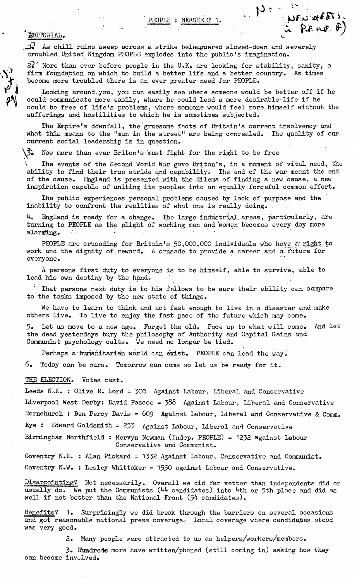PEOPLE : NEVSHEST 1.  $1^3$  :  $\mu_{F,0}$  at  $F_0$  is

## 'editorial. ^

 $\overline{\mathcal{S}}_{\mathbf{r}}^{2}$ 

 ${\mathcal{X}}$  As chill rains sweep across a strike beleaguered slowed-down and severely troubled United Kingdom PEOPLE explodes into the public's imagination.

 $22$ <sup>\*</sup> More than ever before people in the U.K. are looking for stability, sanity, a firm foundation on which to build a better life and a better country. As times become more troubled there is an ever greater need for PEOPLE.

Looking around you, you can easily see where someone would be better off if he could communicate more easily, where he could lead a more desirable life if he • could be free of life's problems, where someone would feel more himself without the sufferings and hostilities to which he is sometimes subjected.

The Empire's downfall, the gruesome facts of Britain's current insolvency and what this means to the "man in the street" are being concealed. The quality of our current social leadership is in question.

**\3i** Nov; more than ever Briton's must fight for the right to be free

The events of the Second World War gave Briton's, in a moment of vital need, the ability to find their true stride and capability. The end of the war meant the end of the cause. England is presented with the dilema of finding a new cause, a new inspiration, capable of uniting its peoples into an equally forceful common effort.

The public experiences personal problems caused by lack of purpose and the inability to confront the realities of what, one is really doing.

4. England is ready for a change. The large industrial areas, particularly, are turning to PEOPLE as the plight of working men and women becomes every day more alarming.

PEOPLE are crusading for Britain's 50,000,000 individuals who have a right to work and the dignity of reward. A crusade to provide a career and a future for everyone.

A persons first duty to everyone is to be himself, able to survive., able to lead his own destiny by the hand.

That persons next duty is to his fellows to be sure their ability can compare to the tasks imposed by the new state of things.

We have to learn to think and act fast enough to live in a disaster and make others live. To live to enjoy the fast pace of the future which may come.

5. Let us move to a new age. Forget the old. Face up to what will come. And let the dead yesterdays bury the philosophy of Authority and Capital Gains and Communist psychology cults. We need no longer be tied.

Perhaps a humanitarian world can exist. PEOPLE can lead the way.

6. Today can be ours. Tomorrow can come so let us be ready for it.

## THE ELECTION. Votes cast.

Leeds N.E. : Clive R. Lord = 300 Against Labour, Liberal and Conservative Liverpool West Derby: David Pascoe = 388 Against Labour, Liberal and Conservative Hornchurch : Ben Percy Davis = 609 Against Labour, Liberal and Conservative & Comm. Hye : Edward Goldsmith = 253 Against Labour, Liberal and Conservative Birmingham Northfield : Mervyn Newman (Indep. PEOPLE) = 1232 against Labour Conservative and Communist.

Coventry N.E\* : Alan Pickard = 1332 Against Labour, Conservative and Communist.

Coventry N.W. : Lesley Whittaker = 1550 against Labour and Conservative.

Disappointing? Not necessarily. Overall we did .far vetter than independents did or usually do. We put the Communists (44 candidates) into 4th or 5th place and did as well if not better than the National Front  $(54$  candidates).

Benefits? 1. Surprisingly we did break through the barriers on several occasions and got reasonable national press coverage. Local coverage where candidates stood was very good.

2. Many people were attracted to us as helpers/workers/members.

3« Hundreds more have written/phoned (still coming in) asking how they can become involved.